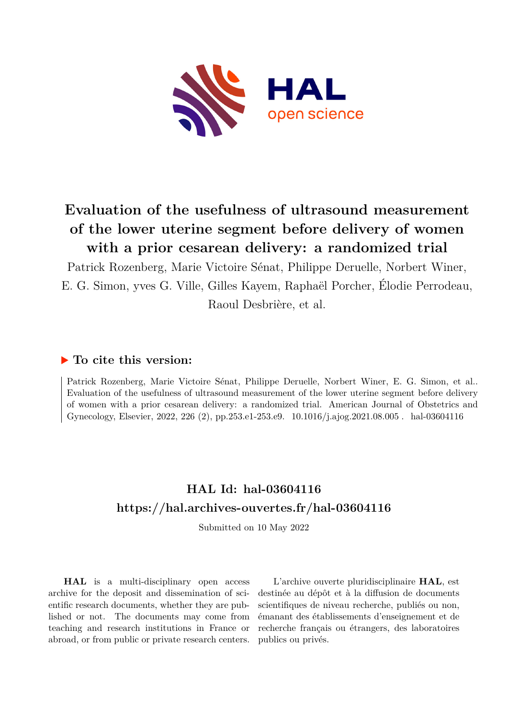

# **Evaluation of the usefulness of ultrasound measurement of the lower uterine segment before delivery of women with a prior cesarean delivery: a randomized trial**

Patrick Rozenberg, Marie Victoire Sénat, Philippe Deruelle, Norbert Winer, E. G. Simon, yves G. Ville, Gilles Kayem, Raphaël Porcher, Élodie Perrodeau, Raoul Desbrière, et al.

### **To cite this version:**

Patrick Rozenberg, Marie Victoire Sénat, Philippe Deruelle, Norbert Winer, E. G. Simon, et al.. Evaluation of the usefulness of ultrasound measurement of the lower uterine segment before delivery of women with a prior cesarean delivery: a randomized trial. American Journal of Obstetrics and Gynecology, Elsevier, 2022, 226 (2), pp.253.e1-253.e9.  $10.1016/j.ajog.2021.08.005$ . hal-03604116

# **HAL Id: hal-03604116 <https://hal.archives-ouvertes.fr/hal-03604116>**

Submitted on 10 May 2022

**HAL** is a multi-disciplinary open access archive for the deposit and dissemination of scientific research documents, whether they are published or not. The documents may come from teaching and research institutions in France or abroad, or from public or private research centers.

L'archive ouverte pluridisciplinaire **HAL**, est destinée au dépôt et à la diffusion de documents scientifiques de niveau recherche, publiés ou non, émanant des établissements d'enseignement et de recherche français ou étrangers, des laboratoires publics ou privés.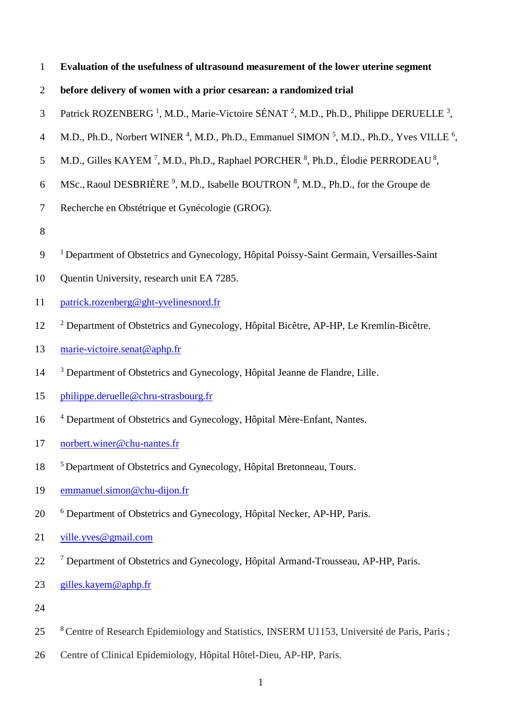- 1 **Evaluation of the usefulness of ultrasound measurement of the lower uterine segment**
- 2 **before delivery of women with a prior cesarean: a randomized trial**
- 3 Patrick ROZENBERG<sup>1</sup>, M.D., Marie-Victoire SÉNAT<sup>2</sup>, M.D., Ph.D., Philippe DERUELLE<sup>3</sup>,
- 4 M.D., Ph.D., Norbert WINER<sup>4</sup>, M.D., Ph.D., Emmanuel SIMON<sup>5</sup>, M.D., Ph.D., Yves VILLE<sup>6</sup>,
- 5 M.D., Gilles KAYEM<sup>7</sup>, M.D., Ph.D., Raphael PORCHER  $\frac{8}{3}$ , Ph.D., Élodie PERRODEAU $\frac{8}{3}$ ,
- 6 MSc., Raoul DESBRIÈRE<sup>9</sup>, M.D., Isabelle BOUTRON<sup>8</sup>, M.D., Ph.D., for the Groupe de
- 7 Recherche en Obstétrique et Gynécologie (GROG).
- 8
- <sup>9</sup> <sup>1</sup> Department of Obstetrics and Gynecology, Hôpital Poissy-Saint Germain, Versailles-Saint
- 10 Quentin University, research unit EA 7285.
- 11 [patrick.rozenberg@ght-yvelinesnord.fr](mailto:patrick.rozenberg@ght-yvelinesnord.fr)
- <sup>2</sup> Department of Obstetrics and Gynecology, Hôpital Bicêtre, AP-HP, Le Kremlin-Bicêtre.
- 13 [marie-victoire.senat@aphp.fr](mailto:marie-victoire.senat@aphp.fr)
- <sup>3</sup> Department of Obstetrics and Gynecology, Hôpital Jeanne de Flandre, Lille.
- 15 [philippe.deruelle@chru-strasbourg.fr](mailto:philippe.deruelle@chru-strasbourg.fr)
- 16 <sup>4</sup> Department of Obstetrics and Gynecology, Hôpital Mère-Enfant, Nantes.
- 17 [norbert.winer@chu-nantes.fr](mailto:norbert.winer@chu-nantes.fr)
- <sup>5</sup> Department of Obstetrics and Gynecology, Hôpital Bretonneau, Tours.
- 19 [emmanuel.simon@chu-dijon.fr](mailto:emmanuel.simon@chu-dijon.fr)
- <sup>6</sup> Department of Obstetrics and Gynecology, Hôpital Necker, AP-HP, Paris.
- 21 [ville.yves@gmail.com](mailto:ville.yves@gmail.com)
- <sup>7</sup> Department of Obstetrics and Gynecology, Hôpital Armand-Trousseau, AP-HP, Paris.
- 23 [gilles.kayem@aphp.fr](mailto:gilles.kayem@aphp.fr)
- 24
- <sup>8</sup>25 Centre of Research Epidemiology and Statistics, INSERM U1153, Université de Paris, Paris ;
- 26 Centre of Clinical Epidemiology, Hôpital Hôtel-Dieu, AP-HP, Paris.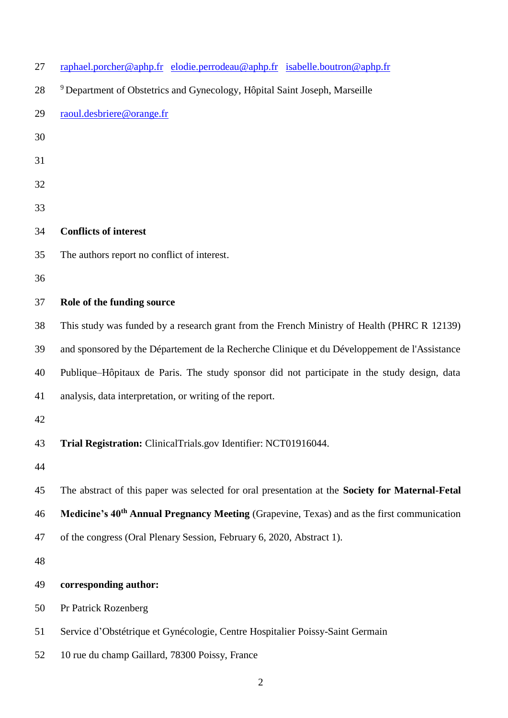| 27 | raphael.porcher@aphp.fr elodie.perrodeau@aphp.fr isabelle.boutron@aphp.fr                              |
|----|--------------------------------------------------------------------------------------------------------|
| 28 | <sup>9</sup> Department of Obstetrics and Gynecology, Hôpital Saint Joseph, Marseille                  |
| 29 | raoul.desbriere@orange.fr                                                                              |
| 30 |                                                                                                        |
| 31 |                                                                                                        |
| 32 |                                                                                                        |
| 33 |                                                                                                        |
| 34 | <b>Conflicts of interest</b>                                                                           |
| 35 | The authors report no conflict of interest.                                                            |
| 36 |                                                                                                        |
| 37 | Role of the funding source                                                                             |
| 38 | This study was funded by a research grant from the French Ministry of Health (PHRC R 12139)            |
| 39 | and sponsored by the Département de la Recherche Clinique et du Développement de l'Assistance          |
| 40 | Publique–Hôpitaux de Paris. The study sponsor did not participate in the study design, data            |
| 41 | analysis, data interpretation, or writing of the report.                                               |
| 42 |                                                                                                        |
| 43 | Trial Registration: ClinicalTrials.gov Identifier: NCT01916044.                                        |
| 44 |                                                                                                        |
| 45 | The abstract of this paper was selected for oral presentation at the Society for Maternal-Fetal        |
| 46 | Medicine's 40 <sup>th</sup> Annual Pregnancy Meeting (Grapevine, Texas) and as the first communication |
| 47 | of the congress (Oral Plenary Session, February 6, 2020, Abstract 1).                                  |
| 48 |                                                                                                        |
| 49 | corresponding author:                                                                                  |
| 50 | Pr Patrick Rozenberg                                                                                   |
| 51 | Service d'Obstétrique et Gynécologie, Centre Hospitalier Poissy-Saint Germain                          |
| 52 | 10 rue du champ Gaillard, 78300 Poissy, France                                                         |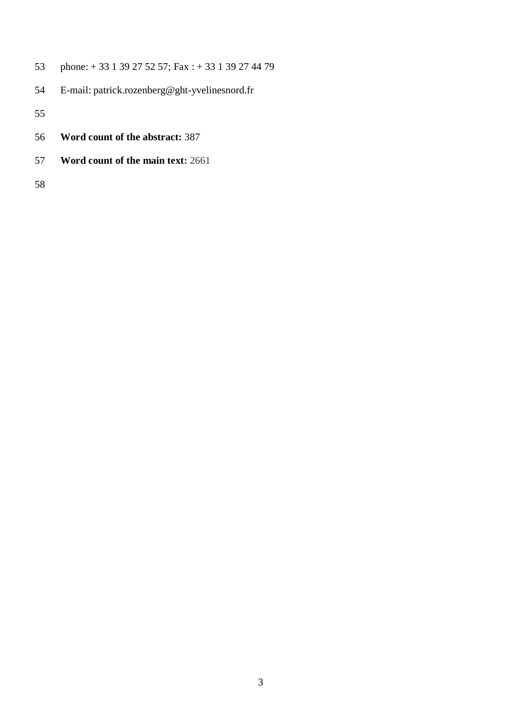- phone: + 33 1 39 27 52 57; Fax : + 33 1 39 27 44 79
- E-mail: patrick.rozenberg@ght-yvelinesnord.fr

- **Word count of the abstract:** 387
- **Word count of the main text:** 2661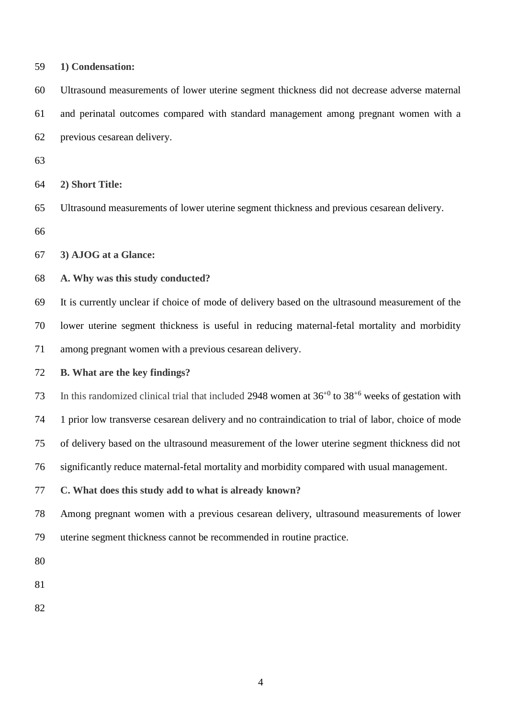| 59 | 1) Condensation:                                                                                             |
|----|--------------------------------------------------------------------------------------------------------------|
| 60 | Ultrasound measurements of lower uterine segment thickness did not decrease adverse maternal                 |
| 61 | and perinatal outcomes compared with standard management among pregnant women with a                         |
| 62 | previous cesarean delivery.                                                                                  |
| 63 |                                                                                                              |
| 64 | 2) Short Title:                                                                                              |
| 65 | Ultrasound measurements of lower uterine segment thickness and previous cesarean delivery.                   |
| 66 |                                                                                                              |
| 67 | 3) AJOG at a Glance:                                                                                         |
| 68 | A. Why was this study conducted?                                                                             |
| 69 | It is currently unclear if choice of mode of delivery based on the ultrasound measurement of the             |
| 70 | lower uterine segment thickness is useful in reducing maternal-fetal mortality and morbidity                 |
| 71 | among pregnant women with a previous cesarean delivery.                                                      |
| 72 | B. What are the key findings?                                                                                |
| 73 | In this randomized clinical trial that included 2948 women at $36^{+0}$ to $38^{+6}$ weeks of gestation with |
| 74 | 1 prior low transverse cesarean delivery and no contraindication to trial of labor, choice of mode           |
| 75 | of delivery based on the ultrasound measurement of the lower uterine segment thickness did not               |
| 76 | significantly reduce maternal-fetal mortality and morbidity compared with usual management.                  |
| 77 | C. What does this study add to what is already known?                                                        |
| 78 | Among pregnant women with a previous cesarean delivery, ultrasound measurements of lower                     |
| 79 | uterine segment thickness cannot be recommended in routine practice.                                         |
| 80 |                                                                                                              |
| 81 |                                                                                                              |
| 82 |                                                                                                              |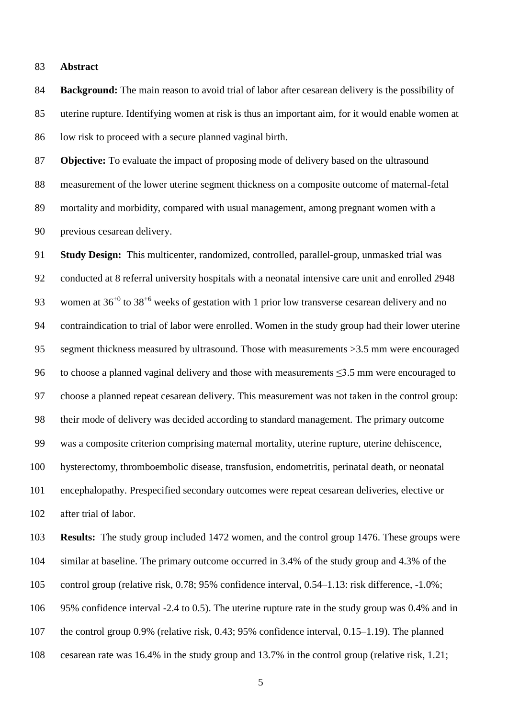#### **Abstract**

 **Background:** The main reason to avoid trial of labor after cesarean delivery is the possibility of uterine rupture. Identifying women at risk is thus an important aim, for it would enable women at low risk to proceed with a secure planned vaginal birth.

 **Objective:** To evaluate the impact of proposing mode of delivery based on the ultrasound measurement of the lower uterine segment thickness on a composite outcome of maternal-fetal mortality and morbidity, compared with usual management, among pregnant women with a previous cesarean delivery.

 **Study Design:** This multicenter, randomized, controlled, parallel-group, unmasked trial was conducted at 8 referral university hospitals with a neonatal intensive care unit and enrolled 2948 93 women at  $36^{+0}$  to  $38^{+6}$  weeks of gestation with 1 prior low transverse cesarean delivery and no contraindication to trial of labor were enrolled. Women in the study group had their lower uterine segment thickness measured by ultrasound. Those with measurements >3.5 mm were encouraged to choose a planned vaginal delivery and those with measurements ≤3.5 mm were encouraged to choose a planned repeat cesarean delivery. This measurement was not taken in the control group: their mode of delivery was decided according to standard management. The primary outcome was a composite criterion comprising maternal mortality, uterine rupture, uterine dehiscence, hysterectomy, thromboembolic disease, transfusion, endometritis, perinatal death, or neonatal encephalopathy. Prespecified secondary outcomes were repeat cesarean deliveries, elective or after trial of labor.

 **Results:** The study group included 1472 women, and the control group 1476. These groups were similar at baseline. The primary outcome occurred in 3.4% of the study group and 4.3% of the control group (relative risk, 0.78; 95% confidence interval, 0.54–1.13: risk difference, -1.0%; 95% confidence interval -2.4 to 0.5). The uterine rupture rate in the study group was 0.4% and in the control group 0.9% (relative risk, 0.43; 95% confidence interval, 0.15–1.19). The planned cesarean rate was 16.4% in the study group and 13.7% in the control group (relative risk, 1.21;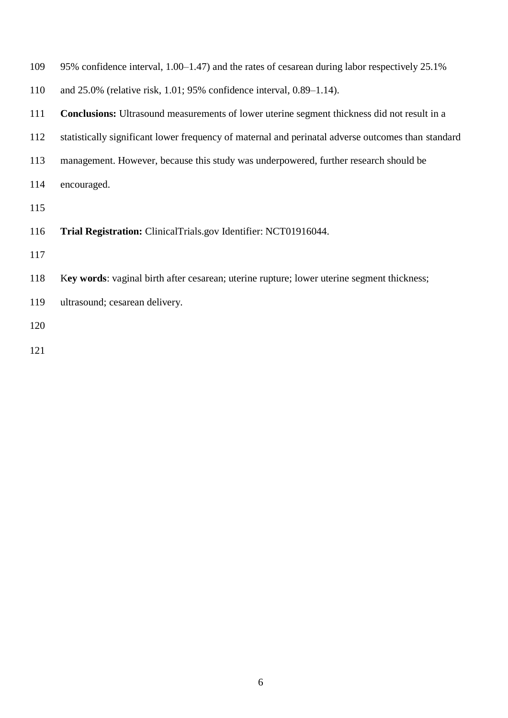| 109 | 95% confidence interval, 1.00–1.47) and the rates of cesarean during labor respectively 25.1%      |
|-----|----------------------------------------------------------------------------------------------------|
| 110 | and $25.0\%$ (relative risk, 1.01; 95% confidence interval, 0.89–1.14).                            |
| 111 | <b>Conclusions:</b> Ultrasound measurements of lower uterine segment thickness did not result in a |
| 112 | statistically significant lower frequency of maternal and perinatal adverse outcomes than standard |
| 113 | management. However, because this study was underpowered, further research should be               |
| 114 | encouraged.                                                                                        |
| 115 |                                                                                                    |
| 116 | Trial Registration: ClinicalTrials.gov Identifier: NCT01916044.                                    |
| 117 |                                                                                                    |
| 118 | Key words: vaginal birth after cesarean; uterine rupture; lower uterine segment thickness;         |
| 119 | ultrasound; cesarean delivery.                                                                     |
| 120 |                                                                                                    |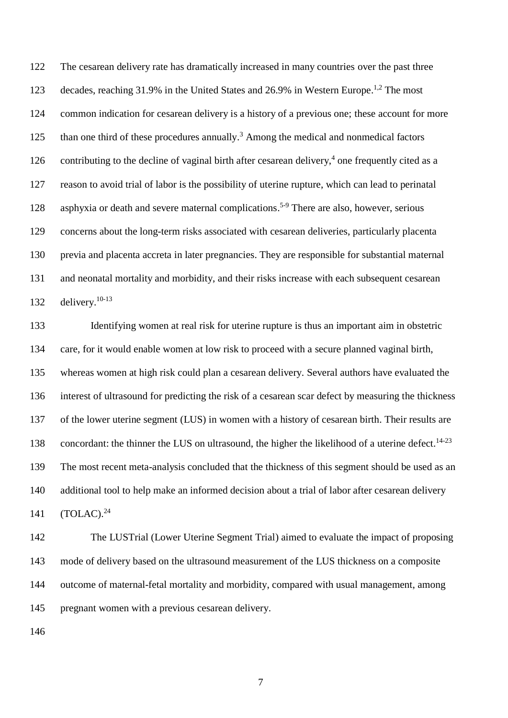The cesarean delivery rate has dramatically increased in many countries over the past three 123 decades, reaching 31.9% in the United States and 26.9% in Western Europe.<sup>1,2</sup> The most common indication for cesarean delivery is a history of a previous one; these account for more 125 than one third of these procedures annually.<sup>3</sup> Among the medical and nonmedical factors 126 contributing to the decline of vaginal birth after cesarean delivery, one frequently cited as a reason to avoid trial of labor is the possibility of uterine rupture, which can lead to perinatal 128 asphyxia or death and severe maternal complications.<sup>5-9</sup> There are also, however, serious concerns about the long-term risks associated with cesarean deliveries, particularly placenta previa and placenta accreta in later pregnancies. They are responsible for substantial maternal and neonatal mortality and morbidity, and their risks increase with each subsequent cesarean 132 delivery. $10-13$ 

 Identifying women at real risk for uterine rupture is thus an important aim in obstetric care, for it would enable women at low risk to proceed with a secure planned vaginal birth, whereas women at high risk could plan a cesarean delivery. Several authors have evaluated the interest of ultrasound for predicting the risk of a cesarean scar defect by measuring the thickness of the lower uterine segment (LUS) in women with a history of cesarean birth. Their results are concordant: the thinner the LUS on ultrasound, the higher the likelihood of a uterine defect.<sup>14-23</sup> The most recent meta-analysis concluded that the thickness of this segment should be used as an additional tool to help make an informed decision about a trial of labor after cesarean delivery  $(TOLAC).<sup>24</sup>$ 

 The LUSTrial (Lower Uterine Segment Trial) aimed to evaluate the impact of proposing mode of delivery based on the ultrasound measurement of the LUS thickness on a composite outcome of maternal-fetal mortality and morbidity, compared with usual management, among pregnant women with a previous cesarean delivery.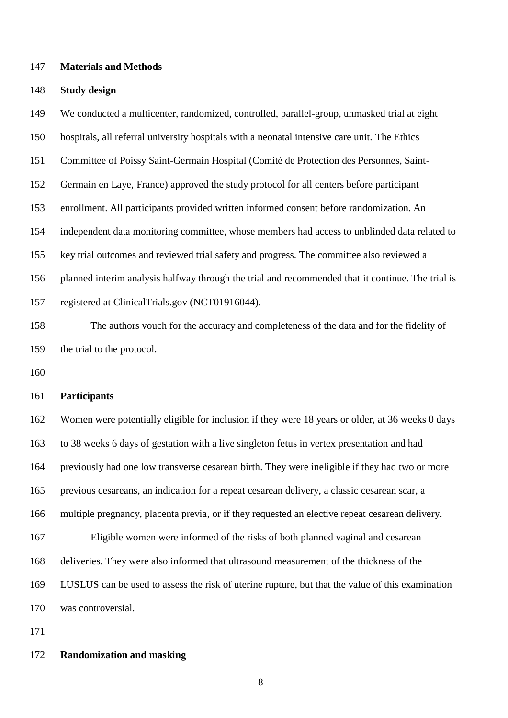**Materials and Methods**

#### **Study design**

We conducted a multicenter, randomized, controlled, parallel-group, unmasked trial at eight

hospitals, all referral university hospitals with a neonatal intensive care unit. The Ethics

Committee of Poissy Saint-Germain Hospital (Comité de Protection des Personnes, Saint-

Germain en Laye, France) approved the study protocol for all centers before participant

enrollment. All participants provided written informed consent before randomization. An

independent data monitoring committee, whose members had access to unblinded data related to

key trial outcomes and reviewed trial safety and progress. The committee also reviewed a

planned interim analysis halfway through the trial and recommended that it continue. The trial is

registered at ClinicalTrials.gov (NCT01916044).

 The authors vouch for the accuracy and completeness of the data and for the fidelity of the trial to the protocol.

#### **Participants**

 Women were potentially eligible for inclusion if they were 18 years or older, at 36 weeks 0 days to 38 weeks 6 days of gestation with a live singleton fetus in vertex presentation and had previously had one low transverse cesarean birth. They were ineligible if they had two or more previous cesareans, an indication for a repeat cesarean delivery, a classic cesarean scar, a multiple pregnancy, placenta previa, or if they requested an elective repeat cesarean delivery. Eligible women were informed of the risks of both planned vaginal and cesarean deliveries. They were also informed that ultrasound measurement of the thickness of the LUSLUS can be used to assess the risk of uterine rupture, but that the value of this examination was controversial.

#### **Randomization and masking**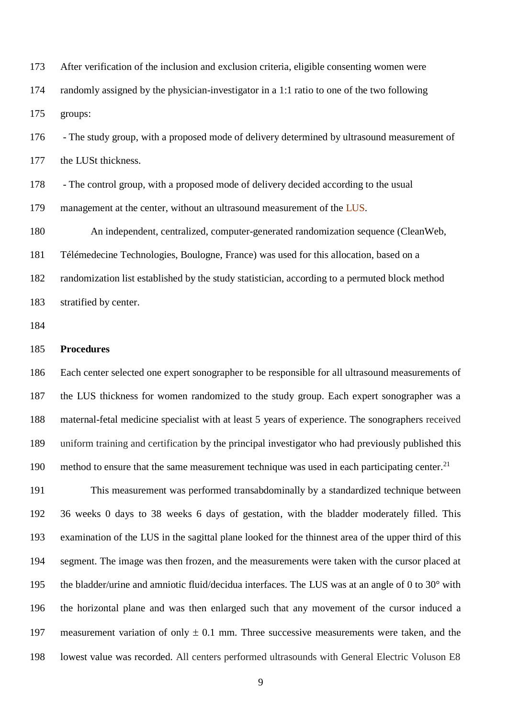After verification of the inclusion and exclusion criteria, eligible consenting women were randomly assigned by the physician-investigator in a 1:1 ratio to one of the two following groups:

 - The study group, with a proposed mode of delivery determined by ultrasound measurement of 177 the LUSt thickness.

- The control group, with a proposed mode of delivery decided according to the usual

179 management at the center, without an ultrasound measurement of the LUS.

 An independent, centralized, computer-generated randomization sequence (CleanWeb, Télémedecine Technologies, Boulogne, France) was used for this allocation, based on a randomization list established by the study statistician, according to a permuted block method stratified by center.

#### **Procedures**

 Each center selected one expert sonographer to be responsible for all ultrasound measurements of the LUS thickness for women randomized to the study group. Each expert sonographer was a maternal-fetal medicine specialist with at least 5 years of experience. The sonographers received uniform training and certification by the principal investigator who had previously published this 190 method to ensure that the same measurement technique was used in each participating center.<sup>21</sup>

 This measurement was performed transabdominally by a standardized technique between 36 weeks 0 days to 38 weeks 6 days of gestation, with the bladder moderately filled. This examination of the LUS in the sagittal plane looked for the thinnest area of the upper third of this segment. The image was then frozen, and the measurements were taken with the cursor placed at the bladder/urine and amniotic fluid/decidua interfaces. The LUS was at an angle of 0 to 30° with the horizontal plane and was then enlarged such that any movement of the cursor induced a 197 measurement variation of only  $\pm$  0.1 mm. Three successive measurements were taken, and the lowest value was recorded. All centers performed ultrasounds with General Electric Voluson E8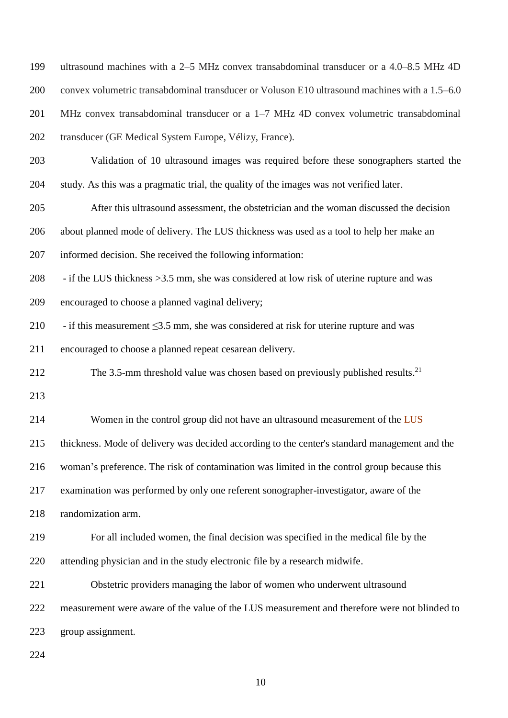| 199 | ultrasound machines with a 2–5 MHz convex transabdominal transducer or a 4.0–8.5 MHz 4D       |
|-----|-----------------------------------------------------------------------------------------------|
| 200 | convex volumetric transabdominal transducer or Voluson E10 ultrasound machines with a 1.5–6.0 |
| 201 | MHz convex transabdominal transducer or a $1-7$ MHz 4D convex volumetric transabdominal       |
| 202 | transducer (GE Medical System Europe, Vélizy, France).                                        |
| 203 | Validation of 10 ultrasound images was required before these sonographers started the         |
| 204 | study. As this was a pragmatic trial, the quality of the images was not verified later.       |
| 205 | After this ultrasound assessment, the obstetrician and the woman discussed the decision       |
| 206 | about planned mode of delivery. The LUS thickness was used as a tool to help her make an      |
| 207 | informed decision. She received the following information:                                    |
| 208 | - if the LUS thickness > 3.5 mm, she was considered at low risk of uterine rupture and was    |
| 209 | encouraged to choose a planned vaginal delivery;                                              |
| 210 | - if this measurement $\leq$ 3.5 mm, she was considered at risk for uterine rupture and was   |
| 211 | encouraged to choose a planned repeat cesarean delivery.                                      |
| 212 | The 3.5-mm threshold value was chosen based on previously published results. <sup>21</sup>    |
| 213 |                                                                                               |
| 214 | Women in the control group did not have an ultrasound measurement of the LUS                  |
| 215 | thickness. Mode of delivery was decided according to the center's standard management and the |
| 216 | woman's preference. The risk of contamination was limited in the control group because this   |
| 217 | examination was performed by only one referent sonographer-investigator, aware of the         |
| 218 |                                                                                               |
|     | randomization arm.                                                                            |
| 219 | For all included women, the final decision was specified in the medical file by the           |
| 220 | attending physician and in the study electronic file by a research midwife.                   |
| 221 | Obstetric providers managing the labor of women who underwent ultrasound                      |
| 222 | measurement were aware of the value of the LUS measurement and therefore were not blinded to  |
| 223 | group assignment.                                                                             |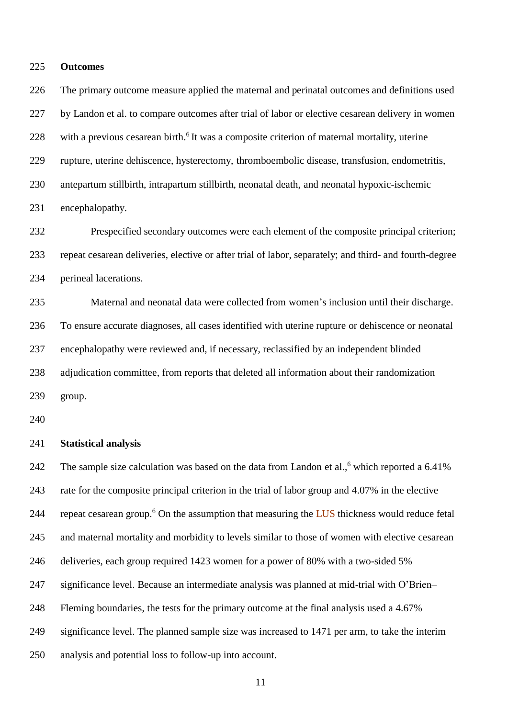#### **Outcomes**

 The primary outcome measure applied the maternal and perinatal outcomes and definitions used by Landon et al. to compare outcomes after trial of labor or elective cesarean delivery in women 228 with a previous cesarean birth.<sup>6</sup> It was a composite criterion of maternal mortality, uterine rupture, uterine dehiscence, hysterectomy, thromboembolic disease, transfusion, endometritis, antepartum stillbirth, intrapartum stillbirth, neonatal death, and neonatal hypoxic-ischemic encephalopathy. Prespecified secondary outcomes were each element of the composite principal criterion;

 repeat cesarean deliveries, elective or after trial of labor, separately; and third- and fourth-degree perineal lacerations.

 Maternal and neonatal data were collected from women's inclusion until their discharge. To ensure accurate diagnoses, all cases identified with uterine rupture or dehiscence or neonatal encephalopathy were reviewed and, if necessary, reclassified by an independent blinded adjudication committee, from reports that deleted all information about their randomization group.

#### **Statistical analysis**

242 The sample size calculation was based on the data from Landon et al., which reported a 6.41% rate for the composite principal criterion in the trial of labor group and 4.07% in the elective 244 repeat cesarean group.<sup>6</sup> On the assumption that measuring the LUS thickness would reduce fetal and maternal mortality and morbidity to levels similar to those of women with elective cesarean deliveries, each group required 1423 women for a power of 80% with a two-sided 5% significance level. Because an intermediate analysis was planned at mid-trial with O'Brien– Fleming boundaries, the tests for the primary outcome at the final analysis used a 4.67% significance level. The planned sample size was increased to 1471 per arm, to take the interim analysis and potential loss to follow-up into account.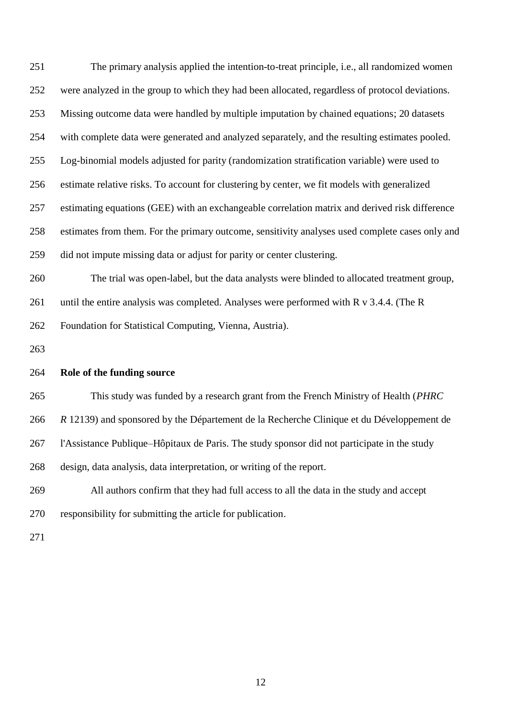The primary analysis applied the intention-to-treat principle, i.e., all randomized women were analyzed in the group to which they had been allocated, regardless of protocol deviations. Missing outcome data were handled by multiple imputation by chained equations; 20 datasets with complete data were generated and analyzed separately, and the resulting estimates pooled. Log-binomial models adjusted for parity (randomization stratification variable) were used to estimate relative risks. To account for clustering by center, we fit models with generalized estimating equations (GEE) with an exchangeable correlation matrix and derived risk difference estimates from them. For the primary outcome, sensitivity analyses used complete cases only and did not impute missing data or adjust for parity or center clustering. The trial was open-label, but the data analysts were blinded to allocated treatment group, 261 until the entire analysis was completed. Analyses were performed with R v 3.4.4. (The R Foundation for Statistical Computing, Vienna, Austria). **Role of the funding source** This study was funded by a research grant from the French Ministry of Health (*PHRC R* 12139) and sponsored by the Département de la Recherche Clinique et du Développement de l'Assistance Publique–Hôpitaux de Paris. The study sponsor did not participate in the study

design, data analysis, data interpretation, or writing of the report.

All authors confirm that they had full access to all the data in the study and accept

responsibility for submitting the article for publication.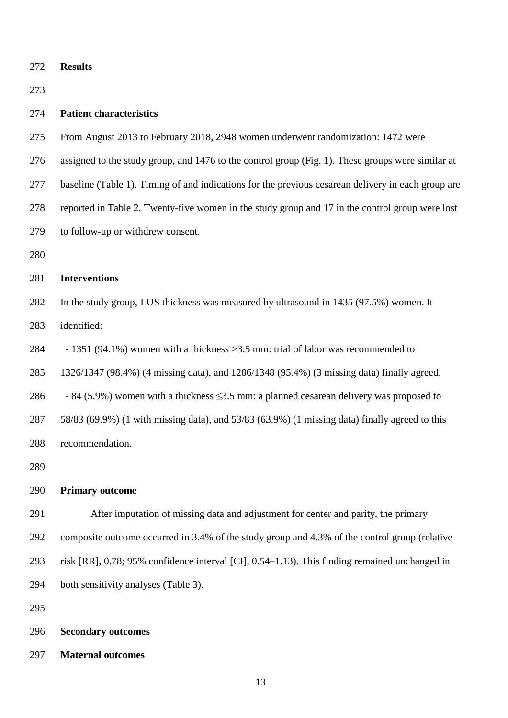**Results**

#### **Patient characteristics**

- From August 2013 to February 2018, 2948 women underwent randomization: 1472 were
- assigned to the study group, and 1476 to the control group (Fig. 1). These groups were similar at
- baseline (Table 1). Timing of and indications for the previous cesarean delivery in each group are
- reported in Table 2. Twenty-five women in the study group and 17 in the control group were lost
- to follow-up or withdrew consent.
- 

#### **Interventions**

 In the study group, LUS thickness was measured by ultrasound in 1435 (97.5%) women. It identified:

284 - 1351 (94.1%) women with a thickness >3.5 mm: trial of labor was recommended to

1326/1347 (98.4%) (4 missing data), and 1286/1348 (95.4%) (3 missing data) finally agreed.

- 286 84 (5.9%) women with a thickness  $\leq$ 3.5 mm: a planned cesarean delivery was proposed to
- 58/83 (69.9%) (1 with missing data), and 53/83 (63.9%) (1 missing data) finally agreed to this
- recommendation.
- 

#### **Primary outcome**

- After imputation of missing data and adjustment for center and parity, the primary
- composite outcome occurred in 3.4% of the study group and 4.3% of the control group (relative
- risk [RR], 0.78; 95% confidence interval [CI], 0.54–1.13). This finding remained unchanged in
- both sensitivity analyses (Table 3).
- 
- **Secondary outcomes**
- **Maternal outcomes**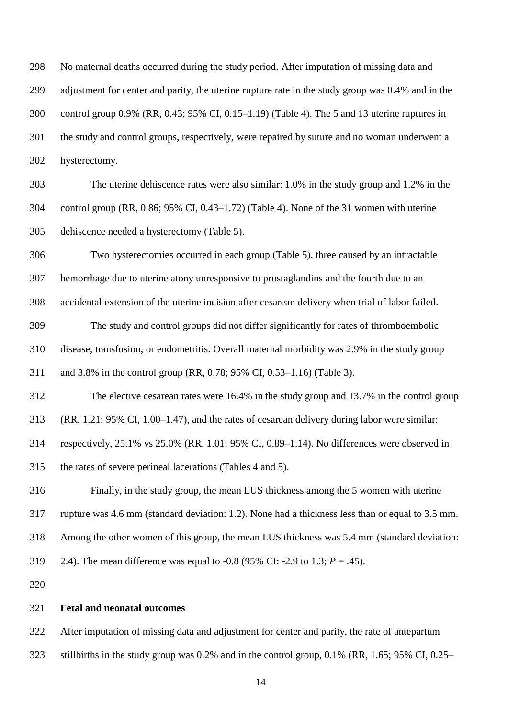No maternal deaths occurred during the study period. After imputation of missing data and adjustment for center and parity, the uterine rupture rate in the study group was 0.4% and in the control group 0.9% (RR, 0.43; 95% CI, 0.15–1.19) (Table 4). The 5 and 13 uterine ruptures in the study and control groups, respectively, were repaired by suture and no woman underwent a hysterectomy.

 The uterine dehiscence rates were also similar: 1.0% in the study group and 1.2% in the control group (RR, 0.86; 95% CI, 0.43–1.72) (Table 4). None of the 31 women with uterine dehiscence needed a hysterectomy (Table 5).

 Two hysterectomies occurred in each group (Table 5), three caused by an intractable hemorrhage due to uterine atony unresponsive to prostaglandins and the fourth due to an

accidental extension of the uterine incision after cesarean delivery when trial of labor failed.

The study and control groups did not differ significantly for rates of thromboembolic

disease, transfusion, or endometritis. Overall maternal morbidity was 2.9% in the study group

and 3.8% in the control group (RR, 0.78; 95% CI, 0.53–1.16) (Table 3).

The elective cesarean rates were 16.4% in the study group and 13.7% in the control group

(RR, 1.21; 95% CI, 1.00–1.47), and the rates of cesarean delivery during labor were similar:

respectively, 25.1% vs 25.0% (RR, 1.01; 95% CI, 0.89–1.14). No differences were observed in

the rates of severe perineal lacerations (Tables 4 and 5).

Finally, in the study group, the mean LUS thickness among the 5 women with uterine

rupture was 4.6 mm (standard deviation: 1.2). None had a thickness less than or equal to 3.5 mm.

Among the other women of this group, the mean LUS thickness was 5.4 mm (standard deviation:

2.4). The mean difference was equal to -0.8 (95% CI: -2.9 to 1.3; *P* = .45).

#### **Fetal and neonatal outcomes**

After imputation of missing data and adjustment for center and parity, the rate of antepartum

stillbirths in the study group was 0.2% and in the control group, 0.1% (RR, 1.65; 95% CI, 0.25–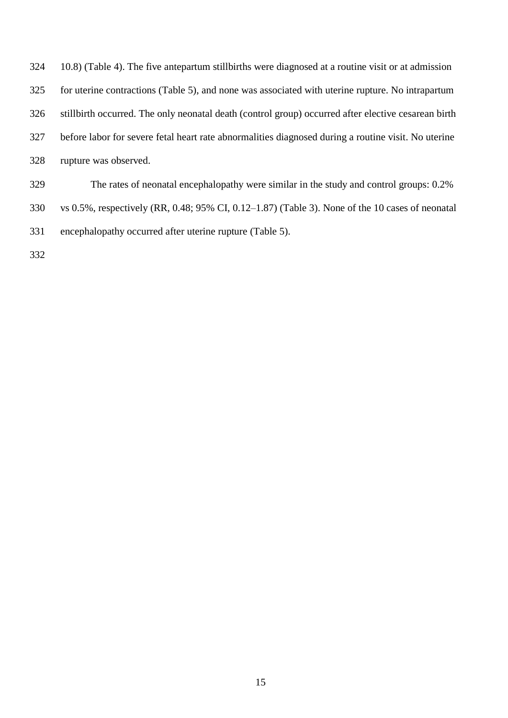| 324 | 10.8) (Table 4). The five antepartum still births were diagnosed at a routine visit or at admission  |
|-----|------------------------------------------------------------------------------------------------------|
| 325 | for uterine contractions (Table 5), and none was associated with uterine rupture. No intrapartum     |
| 326 | still birth occurred. The only neonatal death (control group) occurred after elective cesarean birth |
| 327 | before labor for severe fetal heart rate abnormalities diagnosed during a routine visit. No uterine  |
| 328 | rupture was observed.                                                                                |
| 329 | The rates of neonatal encephalopathy were similar in the study and control groups: 0.2%              |

- vs 0.5%, respectively (RR, 0.48; 95% CI, 0.12–1.87) (Table 3). None of the 10 cases of neonatal encephalopathy occurred after uterine rupture (Table 5).
-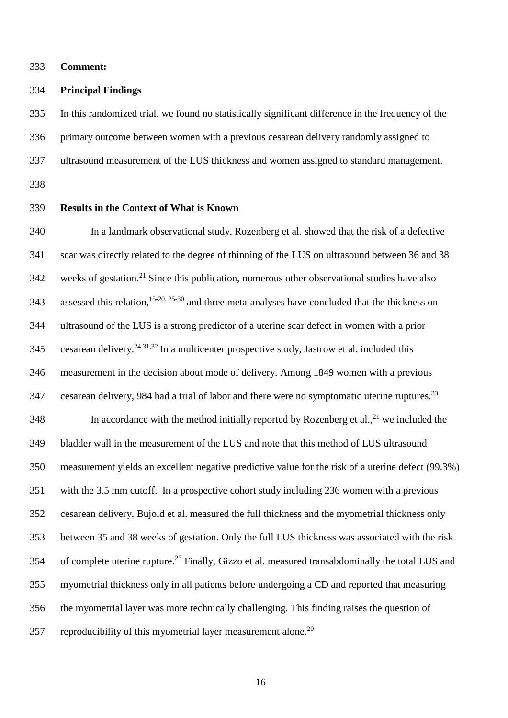**Comment:**

#### **Principal Findings**

 In this randomized trial, we found no statistically significant difference in the frequency of the primary outcome between women with a previous cesarean delivery randomly assigned to ultrasound measurement of the LUS thickness and women assigned to standard management.

#### **Results in the Context of What is Known**

 In a landmark observational study, Rozenberg et al. showed that the risk of a defective scar was directly related to the degree of thinning of the LUS on ultrasound between 36 and 38 weeks of gestation.<sup>21</sup> Since this publication, numerous other observational studies have also 343 assessed this relation,  $15-20$ ,  $25-30$  and three meta-analyses have concluded that the thickness on ultrasound of the LUS is a strong predictor of a uterine scar defect in women with a prior 345 cesarean delivery.<sup>24,31,32</sup> In a multicenter prospective study, Jastrow et al. included this measurement in the decision about mode of delivery. Among 1849 women with a previous 347 cesarean delivery, 984 had a trial of labor and there were no symptomatic uterine ruptures.<sup>33</sup> 348 In accordance with the method initially reported by Rozenberg et al.,  $2^{1}$  we included the bladder wall in the measurement of the LUS and note that this method of LUS ultrasound measurement yields an excellent negative predictive value for the risk of a uterine defect (99.3%) with the 3.5 mm cutoff. In a prospective cohort study including 236 women with a previous cesarean delivery, Bujold et al. measured the full thickness and the myometrial thickness only between 35 and 38 weeks of gestation. Only the full LUS thickness was associated with the risk 354 of complete uterine rupture.<sup>23</sup> Finally, Gizzo et al. measured transabdominally the total LUS and myometrial thickness only in all patients before undergoing a CD and reported that measuring the myometrial layer was more technically challenging. This finding raises the question of 357 reproducibility of this myometrial layer measurement alone.<sup>20</sup>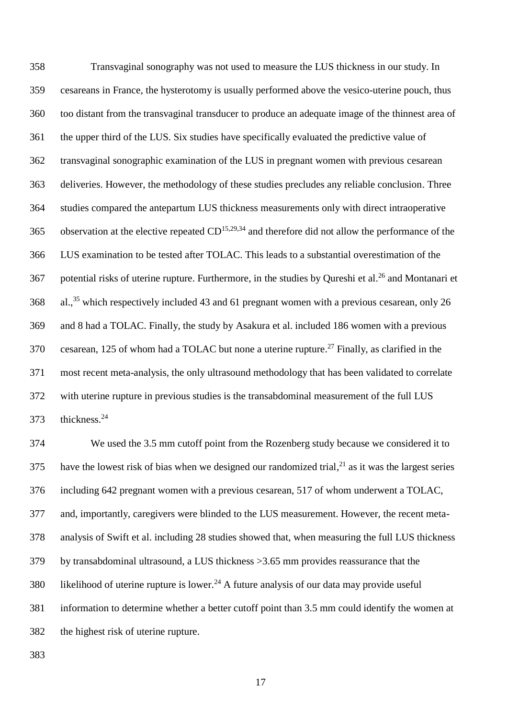Transvaginal sonography was not used to measure the LUS thickness in our study. In cesareans in France, the hysterotomy is usually performed above the vesico-uterine pouch, thus too distant from the transvaginal transducer to produce an adequate image of the thinnest area of the upper third of the LUS. Six studies have specifically evaluated the predictive value of transvaginal sonographic examination of the LUS in pregnant women with previous cesarean deliveries. However, the methodology of these studies precludes any reliable conclusion. Three studies compared the antepartum LUS thickness measurements only with direct intraoperative 365 observation at the elective repeated  $CD^{15,29,34}$  and therefore did not allow the performance of the LUS examination to be tested after TOLAC. This leads to a substantial overestimation of the 367 potential risks of uterine rupture. Furthermore, in the studies by Qureshi et al.<sup>26</sup> and Montanari et 368 al.,<sup>35</sup> which respectively included 43 and 61 pregnant women with a previous cesarean, only 26 and 8 had a TOLAC. Finally, the study by Asakura et al. included 186 women with a previous 370 cesarean, 125 of whom had a TOLAC but none a uterine rupture.<sup>27</sup> Finally, as clarified in the most recent meta-analysis, the only ultrasound methodology that has been validated to correlate with uterine rupture in previous studies is the transabdominal measurement of the full LUS 373 thickness.<sup>24</sup>

 We used the 3.5 mm cutoff point from the Rozenberg study because we considered it to 375 have the lowest risk of bias when we designed our randomized trial, $^{21}$  as it was the largest series including 642 pregnant women with a previous cesarean, 517 of whom underwent a TOLAC, and, importantly, caregivers were blinded to the LUS measurement. However, the recent meta- analysis of Swift et al. including 28 studies showed that, when measuring the full LUS thickness by transabdominal ultrasound, a LUS thickness >3.65 mm provides reassurance that the 380 likelihood of uterine rupture is lower.<sup>24</sup> A future analysis of our data may provide useful information to determine whether a better cutoff point than 3.5 mm could identify the women at the highest risk of uterine rupture.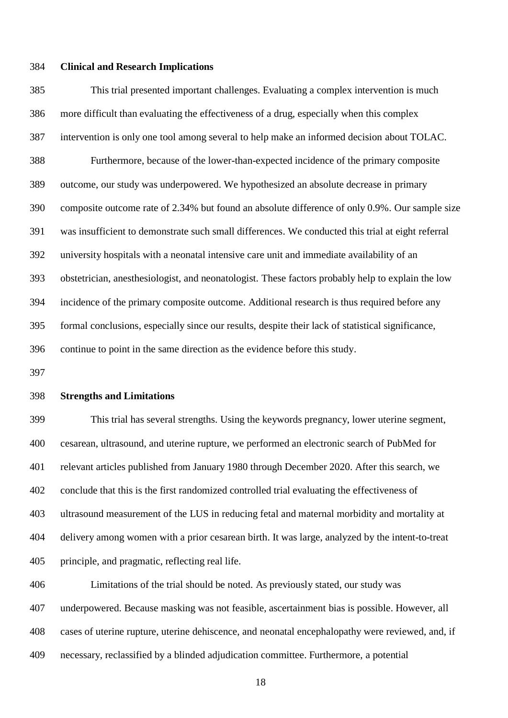#### **Clinical and Research Implications**

 This trial presented important challenges. Evaluating a complex intervention is much more difficult than evaluating the effectiveness of a drug, especially when this complex intervention is only one tool among several to help make an informed decision about TOLAC. Furthermore, because of the lower-than-expected incidence of the primary composite outcome, our study was underpowered. We hypothesized an absolute decrease in primary composite outcome rate of 2.34% but found an absolute difference of only 0.9%. Our sample size was insufficient to demonstrate such small differences. We conducted this trial at eight referral university hospitals with a neonatal intensive care unit and immediate availability of an obstetrician, anesthesiologist, and neonatologist. These factors probably help to explain the low incidence of the primary composite outcome. Additional research is thus required before any formal conclusions, especially since our results, despite their lack of statistical significance, continue to point in the same direction as the evidence before this study.

#### **Strengths and Limitations**

 This trial has several strengths. Using the keywords pregnancy, lower uterine segment, cesarean, ultrasound, and uterine rupture, we performed an electronic search of PubMed for relevant articles published from January 1980 through December 2020. After this search, we conclude that this is the first randomized controlled trial evaluating the effectiveness of ultrasound measurement of the LUS in reducing fetal and maternal morbidity and mortality at delivery among women with a prior cesarean birth. It was large, analyzed by the intent-to-treat principle, and pragmatic, reflecting real life.

 Limitations of the trial should be noted. As previously stated, our study was underpowered. Because masking was not feasible, ascertainment bias is possible. However, all cases of uterine rupture, uterine dehiscence, and neonatal encephalopathy were reviewed, and, if necessary, reclassified by a blinded adjudication committee. Furthermore, a potential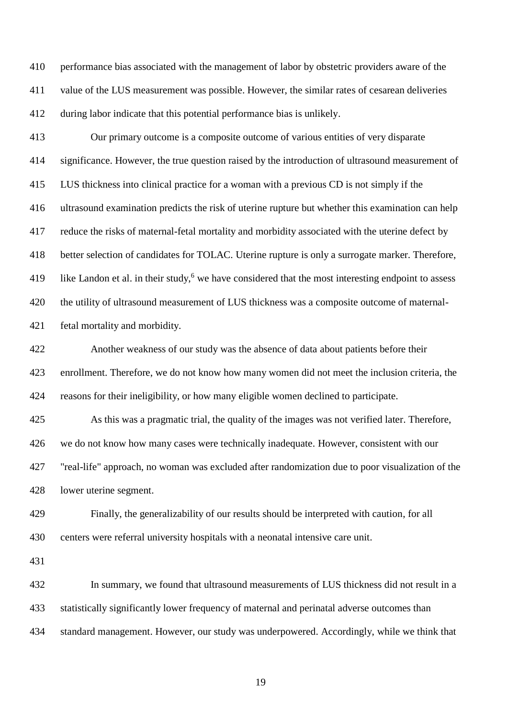performance bias associated with the management of labor by obstetric providers aware of the value of the LUS measurement was possible. However, the similar rates of cesarean deliveries during labor indicate that this potential performance bias is unlikely.

 Our primary outcome is a composite outcome of various entities of very disparate significance. However, the true question raised by the introduction of ultrasound measurement of LUS thickness into clinical practice for a woman with a previous CD is not simply if the ultrasound examination predicts the risk of uterine rupture but whether this examination can help reduce the risks of maternal-fetal mortality and morbidity associated with the uterine defect by better selection of candidates for TOLAC. Uterine rupture is only a surrogate marker. Therefore, 419 like Landon et al. in their study,<sup>6</sup> we have considered that the most interesting endpoint to assess the utility of ultrasound measurement of LUS thickness was a composite outcome of maternal-fetal mortality and morbidity.

 Another weakness of our study was the absence of data about patients before their enrollment. Therefore, we do not know how many women did not meet the inclusion criteria, the reasons for their ineligibility, or how many eligible women declined to participate.

 As this was a pragmatic trial, the quality of the images was not verified later. Therefore, we do not know how many cases were technically inadequate. However, consistent with our "real-life" approach, no woman was excluded after randomization due to poor visualization of the lower uterine segment.

 Finally, the generalizability of our results should be interpreted with caution, for all centers were referral university hospitals with a neonatal intensive care unit.

 In summary, we found that ultrasound measurements of LUS thickness did not result in a statistically significantly lower frequency of maternal and perinatal adverse outcomes than standard management. However, our study was underpowered. Accordingly, while we think that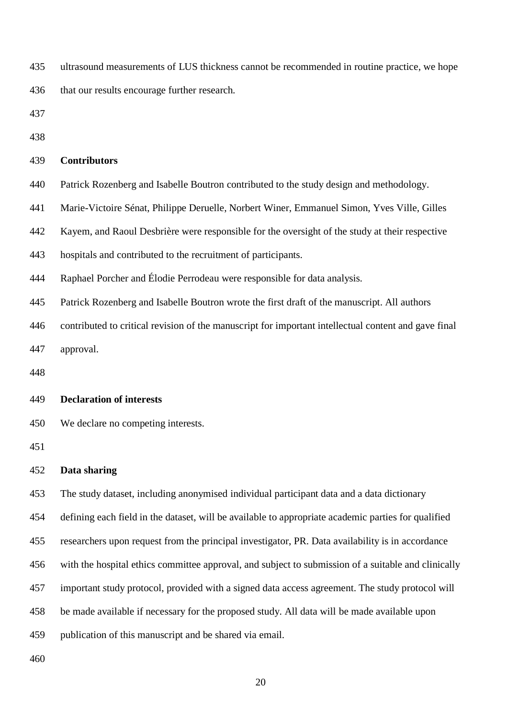ultrasound measurements of LUS thickness cannot be recommended in routine practice, we hope that our results encourage further research.

#### **Contributors**

Patrick Rozenberg and Isabelle Boutron contributed to the study design and methodology.

Marie-Victoire Sénat, Philippe Deruelle, Norbert Winer, Emmanuel Simon, Yves Ville, Gilles

Kayem, and Raoul Desbrière were responsible for the oversight of the study at their respective

hospitals and contributed to the recruitment of participants.

Raphael Porcher and Élodie Perrodeau were responsible for data analysis.

Patrick Rozenberg and Isabelle Boutron wrote the first draft of the manuscript. All authors

contributed to critical revision of the manuscript for important intellectual content and gave final

approval.

#### **Declaration of interests**

We declare no competing interests.

#### **Data sharing**

The study dataset, including anonymised individual participant data and a data dictionary

defining each field in the dataset, will be available to appropriate academic parties for qualified

researchers upon request from the principal investigator, PR. Data availability is in accordance

with the hospital ethics committee approval, and subject to submission of a suitable and clinically

important study protocol, provided with a signed data access agreement. The study protocol will

be made available if necessary for the proposed study. All data will be made available upon

publication of this manuscript and be shared via email.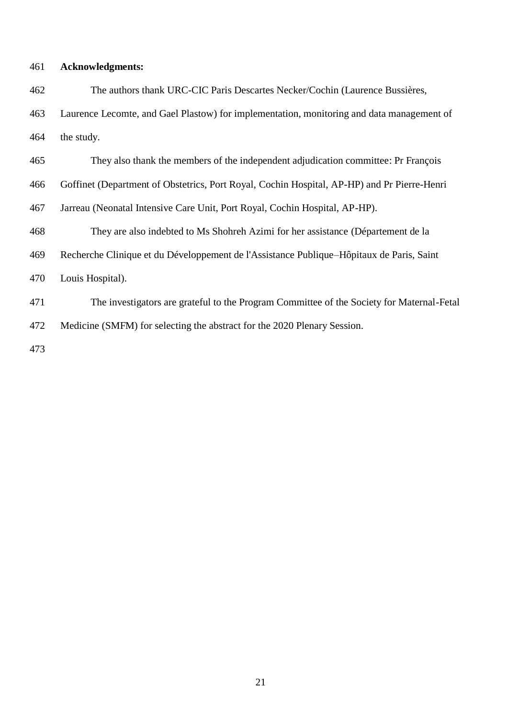#### **Acknowledgments:**

 The authors thank URC-CIC Paris Descartes Necker/Cochin (Laurence Bussières, Laurence Lecomte, and Gael Plastow) for implementation, monitoring and data management of the study.

They also thank the members of the independent adjudication committee: Pr François

Goffinet (Department of Obstetrics, Port Royal, Cochin Hospital, AP-HP) and Pr Pierre-Henri

Jarreau (Neonatal Intensive Care Unit, Port Royal, Cochin Hospital, AP-HP).

They are also indebted to Ms Shohreh Azimi for her assistance (Département de la

Recherche Clinique et du Développement de l'Assistance Publique–Hôpitaux de Paris, Saint

Louis Hospital).

 The investigators are grateful to the Program Committee of the Society for Maternal-Fetal Medicine (SMFM) for selecting the abstract for the 2020 Plenary Session.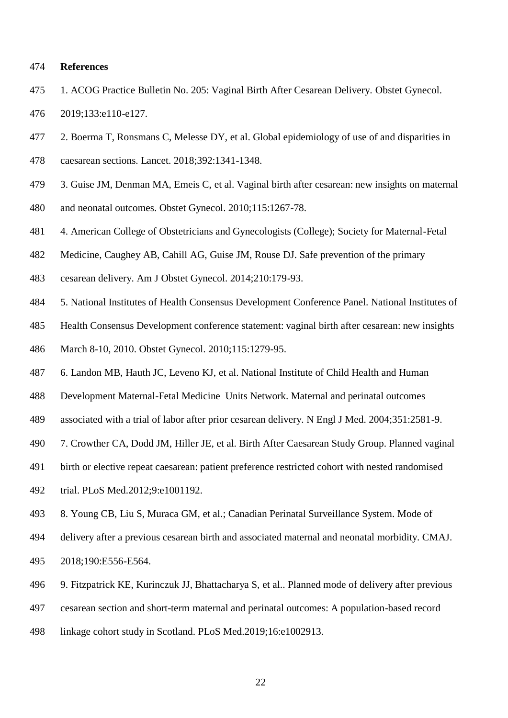#### **References**

- 1. ACOG Practice Bulletin No. 205: Vaginal Birth After Cesarean Delivery. Obstet Gynecol. 2019;133:e110-e127.
- 2. Boerma T, Ronsmans C, Melesse DY, et al. Global epidemiology of use of and disparities in
- caesarean sections. Lancet. 2018;392:1341-1348.
- 3. Guise JM, Denman MA, Emeis C, et al. Vaginal birth after cesarean: new insights on maternal
- and neonatal outcomes. Obstet Gynecol. 2010;115:1267-78.
- 4. American College of Obstetricians and Gynecologists (College); Society for Maternal-Fetal
- Medicine, Caughey AB, Cahill AG, Guise JM, Rouse DJ. Safe prevention of the primary
- cesarean delivery. Am J Obstet Gynecol. 2014;210:179-93.
- 5. National Institutes of Health Consensus Development Conference Panel. National Institutes of
- Health Consensus Development conference statement: vaginal birth after cesarean: new insights
- March 8-10, 2010. Obstet Gynecol. 2010;115:1279-95.
- 6. Landon MB, Hauth JC, Leveno KJ, et al. National Institute of Child Health and Human
- Development Maternal-Fetal Medicine Units Network. Maternal and perinatal outcomes
- associated with a trial of labor after prior cesarean delivery. N Engl J Med. 2004;351:2581-9.
- 7. Crowther CA, Dodd JM, Hiller JE, et al. Birth After Caesarean Study Group. Planned vaginal
- birth or elective repeat caesarean: patient preference restricted cohort with nested randomised
- trial. PLoS Med.2012;9:e1001192.
- 8. Young CB, Liu S, Muraca GM, et al.; Canadian Perinatal Surveillance System. Mode of
- delivery after a previous cesarean birth and associated maternal and neonatal morbidity. CMAJ. 2018;190:E556-E564.
- 9. Fitzpatrick KE, Kurinczuk JJ, Bhattacharya S, et al.. Planned mode of delivery after previous
- cesarean section and short-term maternal and perinatal outcomes: A population-based record
- linkage cohort study in Scotland. PLoS Med.2019;16:e1002913.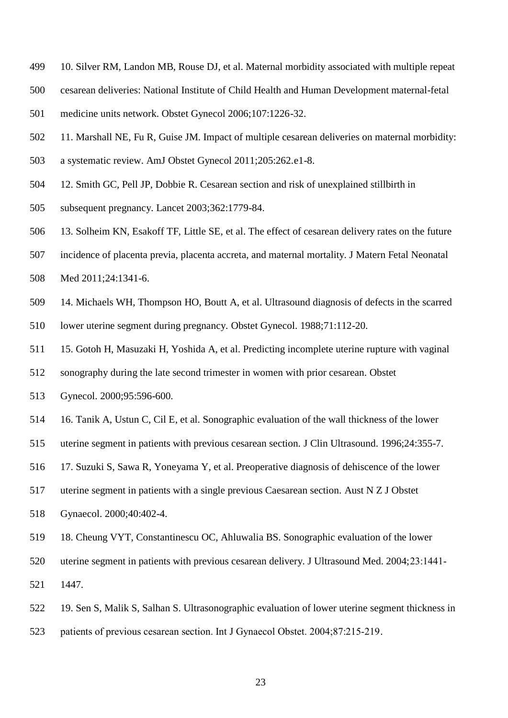- 10. Silver RM, Landon MB, Rouse DJ, et al. Maternal morbidity associated with multiple repeat
- cesarean deliveries: National Institute of Child Health and Human Development maternal-fetal
- medicine units network. Obstet Gynecol 2006;107:1226-32.
- 11. Marshall NE, Fu R, Guise JM. Impact of multiple cesarean deliveries on maternal morbidity:
- a systematic review. AmJ Obstet Gynecol 2011;205:262.e1-8.
- 12. Smith GC, Pell JP, Dobbie R. Cesarean section and risk of unexplained stillbirth in
- subsequent pregnancy. Lancet 2003;362:1779-84.
- 13. Solheim KN, Esakoff TF, Little SE, et al. The effect of cesarean delivery rates on the future
- incidence of placenta previa, placenta accreta, and maternal mortality. J Matern Fetal Neonatal
- Med 2011;24:1341-6.
- 14. [Michaels WH,](https://www.ncbi.nlm.nih.gov/pubmed/?term=Michaels%20WH%5BAuthor%5D&cauthor=true&cauthor_uid=3275907) [Thompson HO,](https://www.ncbi.nlm.nih.gov/pubmed/?term=Thompson%20HO%5BAuthor%5D&cauthor=true&cauthor_uid=3275907) [Boutt A,](https://www.ncbi.nlm.nih.gov/pubmed/?term=Boutt%20A%5BAuthor%5D&cauthor=true&cauthor_uid=3275907) et al. Ultrasound diagnosis of defects in the scarred
- lower uterine segment during pregnancy. [Obstet Gynecol.](https://www.ncbi.nlm.nih.gov/pubmed/?term=Michaels+WH%2C+Thompson+HO%2C+Boutt+A%2C+Schreiber+FR%2CMichaels+SL%2C+Karo+J.) 1988;71:112-20.
- 15. [Gotoh H,](https://www.ncbi.nlm.nih.gov/pubmed/?term=Gotoh%20H%5BAuthor%5D&cauthor=true&cauthor_uid=10725496) [Masuzaki H,](https://www.ncbi.nlm.nih.gov/pubmed/?term=Masuzaki%20H%5BAuthor%5D&cauthor=true&cauthor_uid=10725496) [Yoshida A,](https://www.ncbi.nlm.nih.gov/pubmed/?term=Yoshida%20A%5BAuthor%5D&cauthor=true&cauthor_uid=10725496) et al. Predicting incomplete uterine rupture with vaginal
- sonography during the late second trimester in women with prior cesarean[. Obstet](https://www.ncbi.nlm.nih.gov/pubmed/?term=Gotoh+H%2C+Masuzaki+H%2C+Yoshida+A%2C+Yoshimura+S%2C+Miyamura+T%2C+Ishimaru+T)
- [Gynecol.](https://www.ncbi.nlm.nih.gov/pubmed/?term=Gotoh+H%2C+Masuzaki+H%2C+Yoshida+A%2C+Yoshimura+S%2C+Miyamura+T%2C+Ishimaru+T) 2000;95:596-600.
- 16. [Tanik A,](https://www.ncbi.nlm.nih.gov/pubmed/?term=Tanik%20A%5BAuthor%5D&cauthor=true&cauthor_uid=8873858) [Ustun C,](https://www.ncbi.nlm.nih.gov/pubmed/?term=Ustun%20C%5BAuthor%5D&cauthor=true&cauthor_uid=8873858) [Cil E,](https://www.ncbi.nlm.nih.gov/pubmed/?term=Cil%20E%5BAuthor%5D&cauthor=true&cauthor_uid=8873858) et al. Sonographic evaluation of the wall thickness of the lower
- uterine segment in patients with previous cesarean section. [J Clin Ultrasound.](https://www.ncbi.nlm.nih.gov/pubmed/?term=Tanik+A%2C+Ustun+C%2C+Cil+E%2C+Arslan+A.) 1996;24:355-7.
- 17. [Suzuki S,](https://www.ncbi.nlm.nih.gov/pubmed/?term=Suzuki%20S%5BAuthor%5D&cauthor=true&cauthor_uid=11194423) [Sawa R,](https://www.ncbi.nlm.nih.gov/pubmed/?term=Sawa%20R%5BAuthor%5D&cauthor=true&cauthor_uid=11194423) [Yoneyama Y,](https://www.ncbi.nlm.nih.gov/pubmed/?term=Yoneyama%20Y%5BAuthor%5D&cauthor=true&cauthor_uid=11194423) et al. Preoperative diagnosis of dehiscence of the lower
- uterine segment in patients with a single previous Caesarean section. [Aust N Z J Obstet](https://www.ncbi.nlm.nih.gov/pubmed/11194423)
- [Gynaecol.](https://www.ncbi.nlm.nih.gov/pubmed/11194423) 2000;40:402-4.
- 18. Cheung VYT, Constantinescu OC, Ahluwalia BS. Sonographic evaluation of the lower
- uterine segment in patients with previous cesarean delivery. J Ultrasound Med. 2004;23:1441‐
- 1447.
- 19. Sen S, Malik S, Salhan S. Ultrasonographic evaluation of lower uterine segment thickness in
- patients of previous cesarean section. Int J Gynaecol Obstet. 2004;87:215‐219.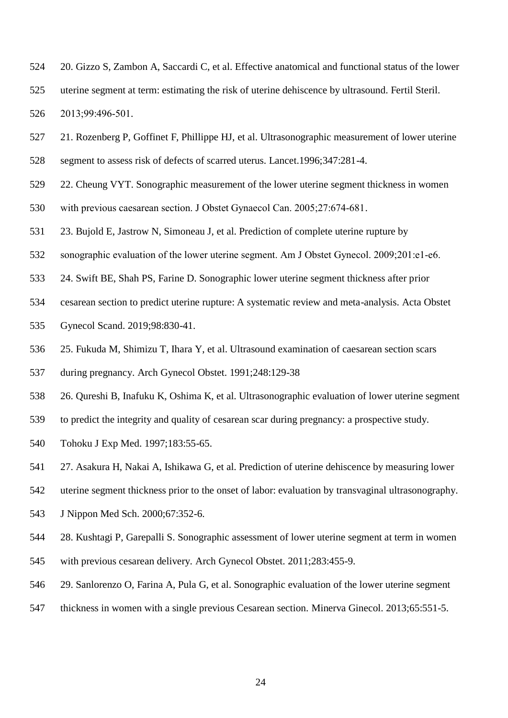- 20. Gizzo S, Zambon A, Saccardi C, et al. Effective anatomical and functional status of the lower uterine segment at term: estimating the risk of uterine dehiscence by ultrasound. Fertil Steril. 2013;99:496‐501.
- 21. Rozenberg P, Goffinet F, Phillippe HJ, et al. Ultrasonographic measurement of lower uterine segment to assess risk of defects of scarred uterus. Lancet.1996;347:281-4.
- 22. Cheung VYT. Sonographic measurement of the lower uterine segment thickness in women
- with previous caesarean section. J Obstet Gynaecol Can. 2005;27:674‐681.
- 23. Bujold E, Jastrow N, Simoneau J, et al. Prediction of complete uterine rupture by
- 532 sonographic evaluation of the lower uterine segment. Am J Obstet Gynecol. 2009;201:e1-e6.
- 24. Swift BE, Shah PS, Farine D. Sonographic lower uterine segment thickness after prior
- cesarean section to predict uterine rupture: A systematic review and meta-analysis. Acta Obstet
- Gynecol Scand. 2019;98:830-41.
- 25. [Fukuda](https://www.ncbi.nlm.nih.gov/pubmed/?term=Fukuda%20M%5BAuthor%5D&cauthor=true&cauthor_uid=2018409) M, [Shimizu T,](https://www.ncbi.nlm.nih.gov/pubmed/?term=Shimizu%20T%5BAuthor%5D&cauthor=true&cauthor_uid=2018409) [Ihara Y,](https://www.ncbi.nlm.nih.gov/pubmed/?term=Ihara%20Y%5BAuthor%5D&cauthor=true&cauthor_uid=2018409) et al. Ultrasound examination of caesarean section scars
- during pregnancy. [Arch Gynecol Obstet.](https://www.ncbi.nlm.nih.gov/pubmed/?term=Fukuda+M%2C+Shimizu+T%2C+Ihara+Y%2C+Fukuda+K%2C+Natsuyama+E%2C+Mochizuki+M.) 1991;248:129-38
- 26. [Qureshi B,](https://www.ncbi.nlm.nih.gov/pubmed/?term=Qureshi%20B%5BAuthor%5D&cauthor=true&cauthor_uid=9453117) [Inafuku K,](https://www.ncbi.nlm.nih.gov/pubmed/?term=Inafuku%20K%5BAuthor%5D&cauthor=true&cauthor_uid=9453117) [Oshima K,](https://www.ncbi.nlm.nih.gov/pubmed/?term=Oshima%20K%5BAuthor%5D&cauthor=true&cauthor_uid=9453117) et al. Ultrasonographic evaluation of lower uterine segment
- to predict the integrity and quality of cesarean scar during pregnancy: a prospective study.
- [Tohoku J Exp Med.](https://www.ncbi.nlm.nih.gov/pubmed/?term=Qureshi+B%2C+Inafuku+K%2C+Oshima+K%2C+Masamoto+H%2C+Kanazawa+K) 1997;183:55-65.
- 27. [Asakura H,](https://www.ncbi.nlm.nih.gov/pubmed/?term=Asakura%20H%5BAuthor%5D&cauthor=true&cauthor_uid=11031364) [Nakai A,](https://www.ncbi.nlm.nih.gov/pubmed/?term=Nakai%20A%5BAuthor%5D&cauthor=true&cauthor_uid=11031364) [Ishikawa G,](https://www.ncbi.nlm.nih.gov/pubmed/?term=Ishikawa%20G%5BAuthor%5D&cauthor=true&cauthor_uid=11031364) et al. Prediction of uterine dehiscence by measuring lower
- uterine segment thickness prior to the onset of labor: evaluation by transvaginal ultrasonography.
- [J Nippon Med Sch.](https://www.ncbi.nlm.nih.gov/pubmed/?term=Asakura+H%2C+Nakai+A%2C+Ishikawa+G%2C+Suzuki+S%2C+Araki+T.) 2000;67:352-6.
- 28. [Kushtagi P,](https://www.ncbi.nlm.nih.gov/pubmed/?term=Kushtagi%20P%5BAuthor%5D&cauthor=true&cauthor_uid=20145938) [Garepalli S.](https://www.ncbi.nlm.nih.gov/pubmed/?term=Garepalli%20S%5BAuthor%5D&cauthor=true&cauthor_uid=20145938) Sonographic assessment of lower uterine segment at term in women with previous cesarean delivery. [Arch Gynecol Obstet.](https://www.ncbi.nlm.nih.gov/pubmed/?term=Kushtagi+P%2C+Garepalli+S.) 2011;283:455-9.
- 29. [Sanlorenzo O,](https://www.ncbi.nlm.nih.gov/pubmed/?term=Sanlorenzo%20O%5BAuthor%5D&cauthor=true&cauthor_uid=24096291) [Farina A,](https://www.ncbi.nlm.nih.gov/pubmed/?term=Farina%20A%5BAuthor%5D&cauthor=true&cauthor_uid=24096291) [Pula G,](https://www.ncbi.nlm.nih.gov/pubmed/?term=Pula%20G%5BAuthor%5D&cauthor=true&cauthor_uid=24096291) et al. Sonographic evaluation of the lower uterine segment
- thickness in women with a single previous Cesarean section. [Minerva Ginecol.](https://www.ncbi.nlm.nih.gov/pubmed/?term=Sanlorenzo+O%2C+Farina+A%2C+Pula+G%2C) 2013;65:551-5.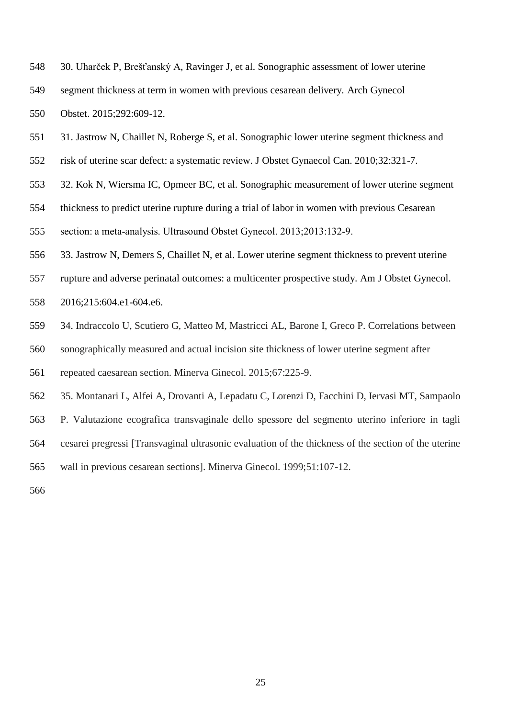- 30. [Uharček P,](https://www.ncbi.nlm.nih.gov/pubmed/?term=Uhar%C4%8Dek%20P%5BAuthor%5D&cauthor=true&cauthor_uid=25814295) [Brešťanský A,](https://www.ncbi.nlm.nih.gov/pubmed/?term=Bre%C5%A1%C5%A5ansk%C3%BD%20A%5BAuthor%5D&cauthor=true&cauthor_uid=25814295) [Ravinger J,](https://www.ncbi.nlm.nih.gov/pubmed/?term=Ravinger%20J%5BAuthor%5D&cauthor=true&cauthor_uid=25814295) et al. Sonographic assessment of lower uterine
- segment thickness at term in women with previous cesarean delivery. [Arch Gynecol](https://www.ncbi.nlm.nih.gov/pubmed/?term=Uharcek+P%2C+Brestansky+A%2C+Ravinger+J%2C+Manova+A%2C+Zajacova+M.)
- [Obstet.](https://www.ncbi.nlm.nih.gov/pubmed/?term=Uharcek+P%2C+Brestansky+A%2C+Ravinger+J%2C+Manova+A%2C+Zajacova+M.) 2015;292:609-12.
- 31. Jastrow N, Chaillet N, Roberge S, et al. Sonographic lower uterine segment thickness and
- risk of uterine scar defect: a systematic review. J Obstet Gynaecol Can. 2010;32:321-7.
- 32. Kok N, Wiersma IC, Opmeer BC, et al. Sonographic measurement of lower uterine segment
- thickness to predict uterine rupture during a trial of labor in women with previous Cesarean
- section: a meta‐analysis. Ultrasound Obstet Gynecol. 2013;2013:132‐9.
- 33. Jastrow N, Demers S, Chaillet N, et al. Lower uterine segment thickness to prevent uterine
- rupture and adverse perinatal outcomes: a multicenter prospective study. Am J Obstet Gynecol.
- 2016;215:604.e1-604.e6.
- 34. Indraccolo U, Scutiero G, Matteo M, Mastricci AL, Barone I, Greco P. Correlations between
- sonographically measured and actual incision site thickness of lower uterine segment after
- repeated caesarean section. Minerva Ginecol. 2015;67:225-9.
- 35. Montanari L, Alfei A, Drovanti A, Lepadatu C, Lorenzi D, Facchini D, Iervasi MT, Sampaolo
- P. Valutazione ecografica transvaginale dello spessore del segmento uterino inferiore in tagli
- cesarei pregressi [Transvaginal ultrasonic evaluation of the thickness of the section of the uterine
- wall in previous cesarean sections]. Minerva Ginecol. 1999;51:107-12.
-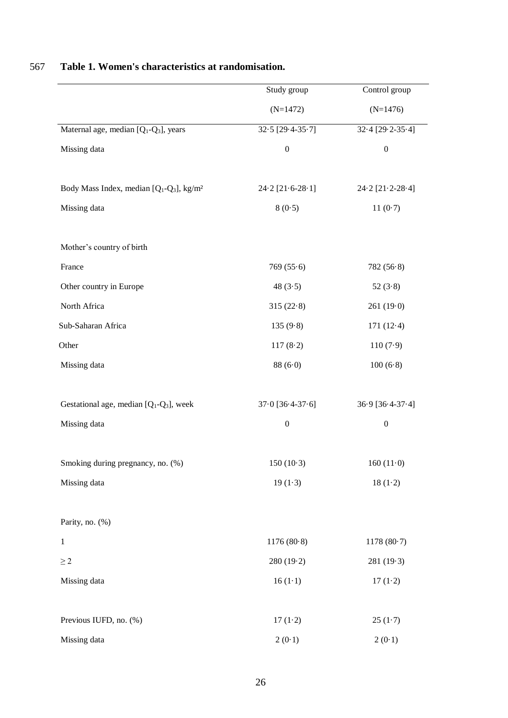|                                                                              | Study group            | Control group            |
|------------------------------------------------------------------------------|------------------------|--------------------------|
|                                                                              | $(N=1472)$             | $(N=1476)$               |
| Maternal age, median $[Q_1-Q_3]$ , years                                     | $32.5$ [29.4-35.7]     | $32.4 [29.2-35.4]$       |
| Missing data                                                                 | $\boldsymbol{0}$       | $\boldsymbol{0}$         |
| Body Mass Index, median [Q <sub>1</sub> -Q <sub>3</sub> ], kg/m <sup>2</sup> | $24.2$ [ $21.6-28.1$ ] | $24.2$ [ $21.2 - 28.4$ ] |
| Missing data                                                                 | 8(0.5)                 | 11 $(0.7)$               |
| Mother's country of birth                                                    |                        |                          |
| France                                                                       | 769(55.6)              | 782(56.8)                |
| Other country in Europe                                                      | 48 $(3.5)$             | 52 $(3.8)$               |
| North Africa                                                                 | 315(22.8)              | 261(19.0)                |
| Sub-Saharan Africa                                                           | 135(9.8)               | 171(12.4)                |
| Other                                                                        | 117(8.2)               | 110(7.9)                 |
| Missing data                                                                 | 88(6·0)                | 100(6·8)                 |
| Gestational age, median $[Q_1-Q_3]$ , week                                   | $37.0$ [ $36.4-37.6$ ] | 36.9 [36.4-37.4]         |
| Missing data                                                                 | $\boldsymbol{0}$       | $\boldsymbol{0}$         |
| Smoking during pregnancy, no. (%)                                            | $150(10-3)$            | 160 $(11.0)$             |
| Missing data                                                                 | $19(1-3)$              | $18(1-2)$                |
| Parity, no. (%)                                                              |                        |                          |
| $\mathbf{1}$                                                                 | 1176(80.8)             | 1178(80.7)               |
| $\geq 2$                                                                     | 280(19.2)              | 281(19.3)                |
| Missing data                                                                 | $16(1-1)$              | 17(1.2)                  |
| Previous IUFD, no. (%)                                                       | $17(1-2)$              | $25(1-7)$                |
| Missing data                                                                 | 2(0.1)                 | 2(0.1)                   |

### 567 **Table 1. Women's characteristics at randomisation.**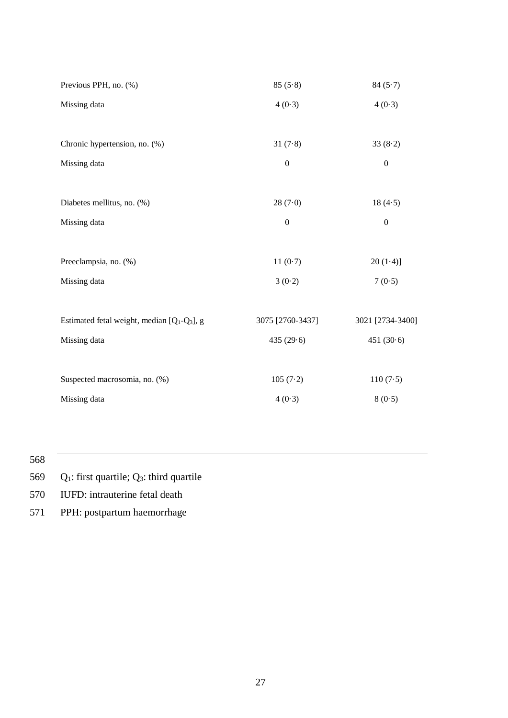| Previous PPH, no. (%)                          | 85(5.8)          | 84(5.7)          |
|------------------------------------------------|------------------|------------------|
| Missing data                                   | 4(0.3)           | 4(0.3)           |
|                                                |                  |                  |
| Chronic hypertension, no. (%)                  | 31(7.8)          | 33(8.2)          |
| Missing data                                   | $\boldsymbol{0}$ | $\boldsymbol{0}$ |
|                                                |                  |                  |
| Diabetes mellitus, no. (%)                     | 28(7.0)          | 18(4.5)          |
| Missing data                                   | $\boldsymbol{0}$ | $\boldsymbol{0}$ |
|                                                |                  |                  |
| Preeclampsia, no. (%)                          | 11(0.7)          | $20(1-4)$        |
| Missing data                                   | 3(0.2)           | 7(0.5)           |
|                                                |                  |                  |
| Estimated fetal weight, median $[Q_1-Q_3]$ , g | 3075 [2760-3437] | 3021 [2734-3400] |
| Missing data                                   | 435 $(29.6)$     | 451 $(30.6)$     |
|                                                |                  |                  |
| Suspected macrosomia, no. (%)                  | 105(7.2)         | 110(7.5)         |
| Missing data                                   | 4(0.3)           | 8(0.5)           |
|                                                |                  |                  |

569  $Q_1$ : first quartile;  $Q_3$ : third quartile

570 IUFD: intrauterine fetal death

571 PPH: postpartum haemorrhage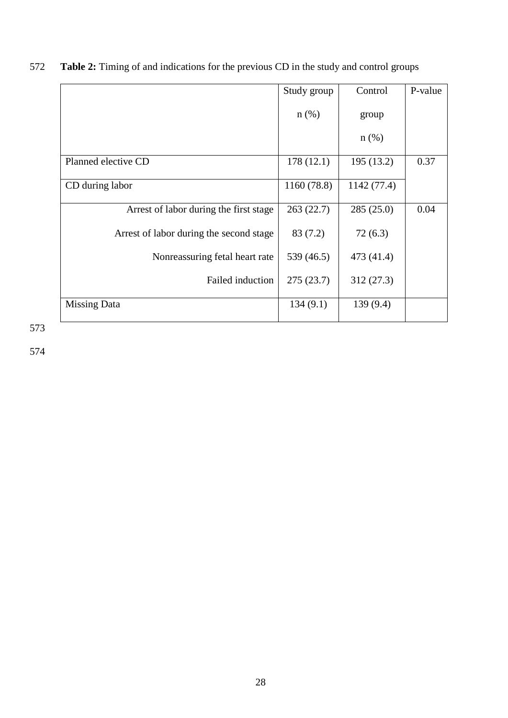572 **Table 2:** Timing of and indications for the previous CD in the study and control groups

|                                         | Study group | Control     | P-value |
|-----------------------------------------|-------------|-------------|---------|
|                                         | $n$ (%)     | group       |         |
|                                         |             | $n$ (%)     |         |
| Planned elective CD                     | 178(12.1)   | 195 (13.2)  | 0.37    |
| CD during labor                         | 1160 (78.8) | 1142 (77.4) |         |
| Arrest of labor during the first stage  | 263(22.7)   | 285(25.0)   | 0.04    |
| Arrest of labor during the second stage | 83 (7.2)    | 72(6.3)     |         |
| Nonreassuring fetal heart rate          | 539 (46.5)  | 473 (41.4)  |         |
| Failed induction                        | 275(23.7)   | 312(27.3)   |         |
| Missing Data                            | 134(9.1)    | 139(9.4)    |         |

573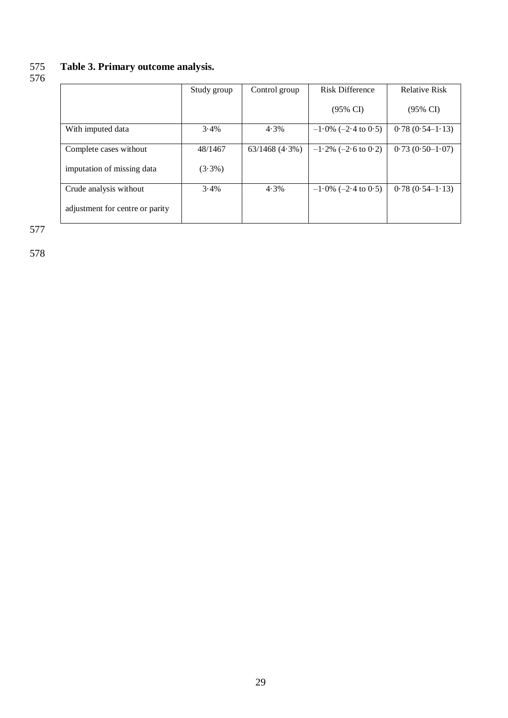### 575 **Table 3. Primary outcome analysis.** 576

|                                 | Study group | Control group       | <b>Risk Difference</b> | <b>Relative Risk</b> |
|---------------------------------|-------------|---------------------|------------------------|----------------------|
|                                 |             |                     | $(95\% \text{ CI})$    | $(95\% \text{ CI})$  |
| With imputed data               | 3.4%        | $4.3\%$             | $-1.0\%$ (-2.4 to 0.5) | $0.78(0.54-1.13)$    |
| Complete cases without          | 48/1467     | $63/1468$ $(4.3\%)$ | $-1.2\%$ (-2.6 to 0.2) | $0.73(0.50-1.07)$    |
| imputation of missing data      | $(3.3\%)$   |                     |                        |                      |
| Crude analysis without          | 3.4%        | 4.3%                | $-1.0\%$ (-2.4 to 0.5) | $0.78(0.54-1.13)$    |
| adjustment for centre or parity |             |                     |                        |                      |

577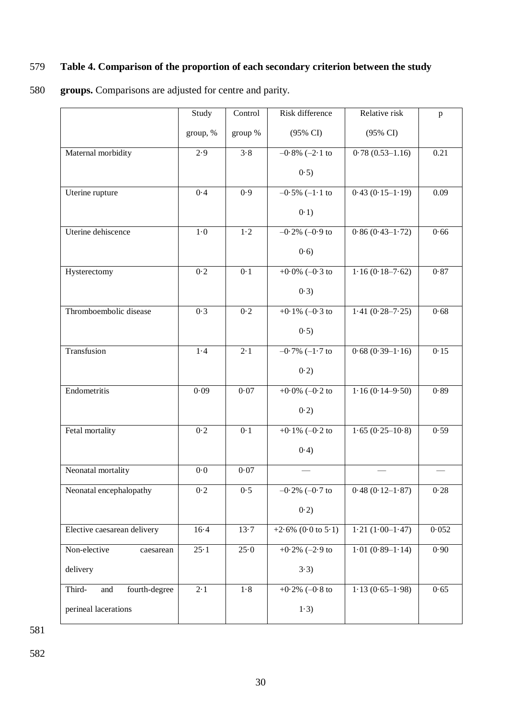### 579 **Table 4. Comparison of the proportion of each secondary criterion between the study**

### 580 **groups.** Comparisons are adjusted for centre and parity.

|                                | Study       | Control | Risk difference              | Relative risk                 | $\mathbf{p}$ |
|--------------------------------|-------------|---------|------------------------------|-------------------------------|--------------|
|                                | group, %    | group % | (95% CI)                     | (95% CI)                      |              |
| Maternal morbidity             | 2.9         | 3.8     | $-0.8\%$ $(-2.1$ to          | $\overline{0.78}$ (0.53–1.16) | 0.21         |
|                                |             |         | (0.5)                        |                               |              |
| Uterine rupture                | 0.4         | 0.9     | $-0.5\%$ $(-1.1 \text{ to}$  | $0.43(0.15-1.19)$             | 0.09         |
|                                |             |         | 0.1)                         |                               |              |
| Uterine dehiscence             | $1\cdot 0$  | $1-2$   | $-0.2\%$ $(-0.9$ to          | $0.86(0.43-1.72)$             | 0.66         |
|                                |             |         | (0.6)                        |                               |              |
| Hysterectomy                   | 0.2         | 0.1     | +0.0% ( $-0.3$ to            | $1.16(0.18 - 7.62)$           | 0.87         |
|                                |             |         | (0.3)                        |                               |              |
| Thromboembolic disease         | 0.3         | 0.2     | $+0.1\%$ (-0.3 to            | $1.41(0.28 - 7.25)$           | 0.68         |
|                                |             |         | 0.5)                         |                               |              |
| Transfusion                    | 1.4         | 2.1     | $-0.7\%$ (-1.7 to            | $0.68(0.39-1.16)$             | 0.15         |
|                                |             |         | 0.2)                         |                               |              |
| Endometritis                   | 0.09        | 0.07    | $+0.0\%$ (-0.2 to            | $1.16(0.14 - 9.50)$           | 0.89         |
|                                |             |         | 0.2)                         |                               |              |
| Fetal mortality                | 0.2         | 0.1     | $\overline{+0.1\%}$ (-0.2 to | $1.65(0.25-10.8)$             | 0.59         |
|                                |             |         | (0.4)                        |                               |              |
| Neonatal mortality             | $0.0\,$     | 0.07    |                              |                               |              |
| Neonatal encephalopathy        | $0·2$       | 0.5     | $-0.2\%$ ( $-0.7$ to         | $0.48(0.12-1.87)$             | 0.28         |
|                                |             |         | 0.2)                         |                               |              |
| Elective caesarean delivery    | $16-4$      | 13.7    | $+2.6\%$ (0.0 to 5.1)        | $1.21(1.00-1.47)$             | 0.052        |
| Non-elective<br>caesarean      | $25 - 1$    | 25.0    | $+0.2\%$ (-2.9 to            | $1.01(0.89-1.14)$             | 0.90         |
| delivery                       |             |         | 3.3)                         |                               |              |
| Third-<br>fourth-degree<br>and | $2 \cdot 1$ | $1.8\,$ | $+0.2\%$ (-0.8 to            | $1.13(0.65-1.98)$             | 0.65         |
| perineal lacerations           |             |         | $1-3)$                       |                               |              |

581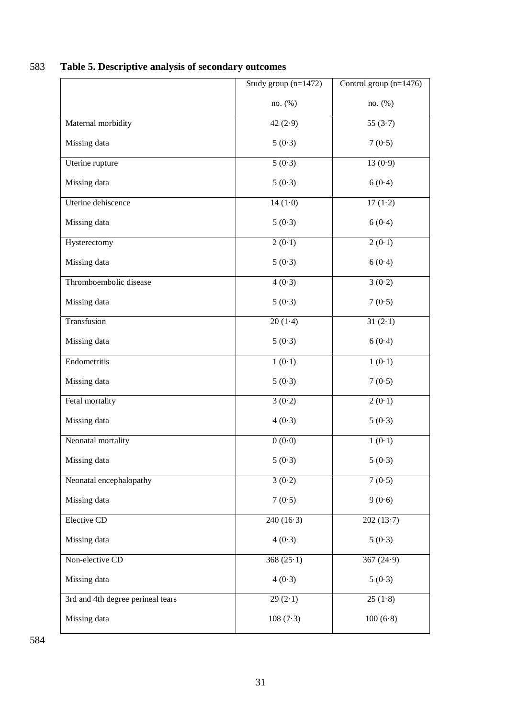|                                   | Study group $(n=1472)$ | Control group $(n=1476)$ |
|-----------------------------------|------------------------|--------------------------|
|                                   | no. (%)                | no. (%)                  |
| Maternal morbidity                | 42 $(2.9)$             | 55 $(3.7)$               |
| Missing data                      | 5(0.3)                 | 7(0.5)                   |
| Uterine rupture                   | 5(0.3)                 | 13(0.9)                  |
| Missing data                      | 5(0.3)                 | 6(0.4)                   |
| Uterine dehiscence                | $14(1-0)$              | $17(1-2)$                |
| Missing data                      | 5(0.3)                 | 6(0.4)                   |
| Hysterectomy                      | 2(0.1)                 | 2(0.1)                   |
| Missing data                      | 5(0.3)                 | 6(0.4)                   |
| Thromboembolic disease            | 4(0.3)                 | 3(0.2)                   |
| Missing data                      | 5(0.3)                 | 7(0.5)                   |
| Transfusion                       | $20(1-4)$              | $31(2-1)$                |
| Missing data                      | 5(0.3)                 | 6(0.4)                   |
| Endometritis                      | 1(0.1)                 | 1(0.1)                   |
| Missing data                      | 5(0.3)                 | 7(0.5)                   |
| Fetal mortality                   | 3(0.2)                 | 2(0.1)                   |
| Missing data                      | 4(0.3)                 | 5(0.3)                   |
| Neonatal mortality                | 0(0.0)                 | 1(0.1)                   |
| Missing data                      | 5(0.3)                 | 5(0.3)                   |
| Neonatal encephalopathy           | 3(0.2)                 | 7(0.5)                   |
| Missing data                      | 7(0.5)                 | 9(0.6)                   |
| Elective CD                       | $240(16-3)$            | 202(13.7)                |
| Missing data                      | 4(0.3)                 | 5(0.3)                   |
| Non-elective CD                   | 368 $(25.1)$           | 367 $(24.9)$             |
| Missing data                      | 4(0.3)                 | 5(0.3)                   |
| 3rd and 4th degree perineal tears | 29(2.1)                | 25(1.8)                  |
| Missing data                      | 108(7.3)               | 100(6·8)                 |

## 583 **Table 5. Descriptive analysis of secondary outcomes**